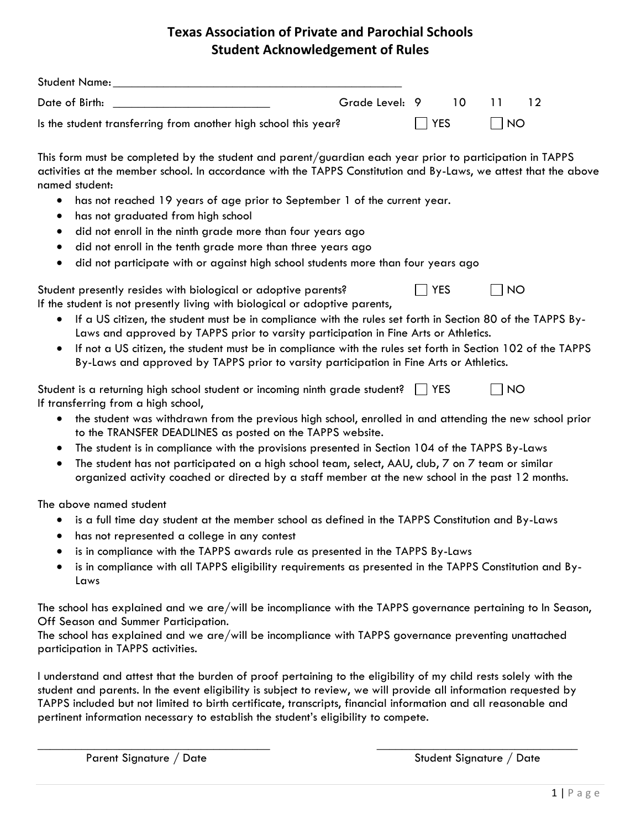## **Texas Association of Private and Parochial Schools Student Acknowledgement of Rules**

| <b>Student Name:</b>                                            |                |            |     |   |  |
|-----------------------------------------------------------------|----------------|------------|-----|---|--|
| Date of Birth:                                                  | Grade Level: 9 |            | 10. |   |  |
| Is the student transferring from another high school this year? |                | $\Box$ YES |     | N |  |

This form must be completed by the student and parent/guardian each year prior to participation in TAPPS activities at the member school. In accordance with the TAPPS Constitution and By-Laws, we attest that the above named student:

- has not reached 19 years of age prior to September 1 of the current year.
- has not graduated from high school
- did not enroll in the ninth grade more than four years ago
- did not enroll in the tenth grade more than three years ago
- did not participate with or against high school students more than four years ago

| Student presently resides with biological or adoptive parents?              | $\Box$ YES | $\Box$ NO |
|-----------------------------------------------------------------------------|------------|-----------|
| If the student is not presently living with biological or adoptive parents, |            |           |

- If a US citizen, the student must be in compliance with the rules set forth in Section 80 of the TAPPS By-Laws and approved by TAPPS prior to varsity participation in Fine Arts or Athletics.
- If not a US citizen, the student must be in compliance with the rules set forth in Section 102 of the TAPPS By-Laws and approved by TAPPS prior to varsity participation in Fine Arts or Athletics.

| Student is a returning high school student or incoming ninth grade student?   YES | $\overline{\phantom{a}}$ NO |
|-----------------------------------------------------------------------------------|-----------------------------|
| If transferring from a high school,                                               |                             |

- the student was withdrawn from the previous high school, enrolled in and attending the new school prior to the TRANSFER DEADLINES as posted on the TAPPS website.
- The student is in compliance with the provisions presented in Section 104 of the TAPPS By-Laws
- The student has not participated on a high school team, select, AAU, club, 7 on 7 team or similar organized activity coached or directed by a staff member at the new school in the past 12 months.

The above named student

- is a full time day student at the member school as defined in the TAPPS Constitution and By-Laws
- has not represented a college in any contest
- is in compliance with the TAPPS awards rule as presented in the TAPPS By-Laws
- is in compliance with all TAPPS eligibility requirements as presented in the TAPPS Constitution and By-Laws

The school has explained and we are/will be incompliance with the TAPPS governance pertaining to In Season, Off Season and Summer Participation.

The school has explained and we are/will be incompliance with TAPPS governance preventing unattached participation in TAPPS activities.

I understand and attest that the burden of proof pertaining to the eligibility of my child rests solely with the student and parents. In the event eligibility is subject to review, we will provide all information requested by TAPPS included but not limited to birth certificate, transcripts, financial information and all reasonable and pertinent information necessary to establish the student's eligibility to compete.

 $\overline{\phantom{a}}$  , and the contract of the contract of the contract of the contract of the contract of the contract of the contract of the contract of the contract of the contract of the contract of the contract of the contrac